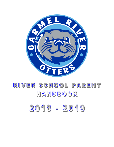

# RIVER SCHOOL PARENT HANDBOOK

# 2018 - 2019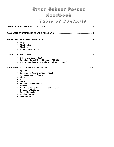### River School Parent

### Handbook

Table of Confents

| ≻                                                                                                                                                                                     | <b>Purpose</b><br>$\triangleright$ Membership<br>$\triangleright$ Meetings<br>$\triangleright$ PTA Executive Board                                                                                                                                                                                                                                                           |  |  |
|---------------------------------------------------------------------------------------------------------------------------------------------------------------------------------------|------------------------------------------------------------------------------------------------------------------------------------------------------------------------------------------------------------------------------------------------------------------------------------------------------------------------------------------------------------------------------|--|--|
|                                                                                                                                                                                       |                                                                                                                                                                                                                                                                                                                                                                              |  |  |
|                                                                                                                                                                                       | > School Site Council (SSC)<br>> Friends of Carmel Unified Schools (FOCUS)<br><b>River Recreation (Before and After School Programs)</b>                                                                                                                                                                                                                                     |  |  |
|                                                                                                                                                                                       |                                                                                                                                                                                                                                                                                                                                                                              |  |  |
| ≻<br>$\blacktriangleright$<br>$\blacktriangleright$<br>$\blacktriangleright$<br>➤<br>$\blacktriangleright$<br>$\blacktriangleright$<br>$\blacktriangleright$<br>$\blacktriangleright$ | $\triangleright$ Spanish<br>English as a Second Language (ESL)<br><b>Advanced Learner Program</b><br>$\triangleright$ Library<br><b>P.E.</b><br>Music<br><b>Educational Technology</b><br>$\triangleright$ Science<br><b>Children's Garden/Environmental Education</b><br>> Counseling/Guidance<br><b>Special Education</b><br><b>Reading Support</b><br><b>Math Support</b> |  |  |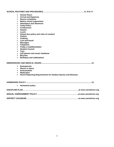| ➤                     | <b>School Hours</b>                                              |
|-----------------------|------------------------------------------------------------------|
| ➤                     | <b>Arrival and Departure</b>                                     |
|                       | $\triangleright$ Recess schedules                                |
| ⋗                     | <b>Before school supervision</b>                                 |
| ➤                     | <b>Attendance and Absences</b>                                   |
| ➤                     | <b>Tardy Policy</b>                                              |
| ⋗                     | <b>Conferences</b>                                               |
| ↘                     | <b>Snacks</b>                                                    |
| ⋗                     | Lunch                                                            |
| ➤                     | School bus policy and rules of conduct                           |
| ⋗                     | Visitors                                                         |
| ⋗                     | <b>Clothing</b>                                                  |
| ⋗                     | <b>Lost and found</b>                                            |
| ➤                     | <b>Messages</b>                                                  |
|                       | $\triangleright$ Telephone                                       |
| ➤                     | <b>Friday e-mail/Newsletter</b>                                  |
| $\blacktriangleright$ | <b>Student Council</b>                                           |
| ➤                     | <b>Toys</b>                                                      |
|                       | $\triangleright$ Cell phones and music headwear                  |
|                       | $\triangleright$ Bicycles                                        |
| $\blacktriangleright$ | <b>Birthdays and celebrations</b>                                |
|                       |                                                                  |
|                       | $\triangleright$ Emergencies                                     |
|                       | $\triangleright$ Illness or Injury                               |
|                       | $\triangleright$ Immunization                                    |
|                       | $\triangleright$ Medication                                      |
| ➤                     | Parent Reporting Requirements for Student Injuries and Illnesses |
|                       |                                                                  |
|                       |                                                                  |
| ➤                     | <b>Homework policy</b>                                           |
|                       |                                                                  |
|                       |                                                                  |
|                       |                                                                  |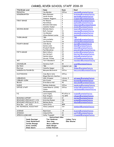#### CARMEL RIVER SCHOOL STAFF 2018-19

| Title/Grade Level         |                           | Name                          | Room                 | Email                                                     |
|---------------------------|---------------------------|-------------------------------|----------------------|-----------------------------------------------------------|
| PRINCIPAL                 |                           | Jay Marden                    | Office               | jmarden@carmelunified.org                                 |
| <b>KINDERGARTEN</b>       |                           | Mary Robinson                 | 1                    | mrobinson@carmelunified.org                               |
|                           |                           | Sarah Perkins                 | 4                    | sperkins@carmelunified.org                                |
|                           |                           | Yessenia Ruggiero             | 3                    | yruggiero@carmelunified.org                               |
| <b>FIRST GRADE</b>        |                           | Pat Weaver                    | $\overline{c}$       | patweaver@carmelunified.org                               |
|                           |                           | Pam Gillooly                  | 5                    | pgillooly@carmelunified.org                               |
|                           |                           | Michelle DiGirolamo           | 7                    | mdigirolamo@carmelunified.org                             |
|                           |                           | Jennifer Hooker               | 8                    | jhooker@carmelunified.org                                 |
| SECOND GRADE              |                           | Michele Osorio                | 6                    | mosorio@carmelunified.org                                 |
|                           |                           | Beth Jauregui                 | 13                   | bjaurequi@carmelunified.org                               |
|                           |                           | Jon Mendez                    | 26                   | jmendez@carmelunified.org                                 |
|                           |                           | Allison Bohnen Loutas         | 25                   | abohnen@carmelunified.org                                 |
| THIRD GRADE               |                           | <b>TBD</b>                    | 23                   | <b>TBD</b>                                                |
|                           |                           | Chris de Bellis               | 17                   | cdebellis@carmelunified.org                               |
|                           |                           | Jan Fletcher                  | 24                   | ifletcher@carmelunified.org                               |
| <b>FOURTH GRADE</b>       |                           | John Burns                    | 22                   | jburns@carmelunified.org                                  |
|                           |                           | Denise Lebel                  | 16                   | dlebel@carmelunified.org                                  |
|                           |                           | Flizabeth Marsh               | 15                   | emarsh@carmelunified.org                                  |
| FIFTH GRADE               |                           | Paul Marashian                | 21<br>27             | pmarashian@carmelunified.org                              |
|                           |                           | Mark Colborn                  |                      | mcolborn@carmelunified.org<br>khartnett@carmelunified.org |
|                           |                           | Kim Hartnett<br>Natalie Kobza | 30<br>29             | nkobza@carmelunified.org                                  |
|                           |                           | Niccole Tiffany               | 28                   | ntiffany@carmelunified.org                                |
|                           |                           | Terri Woodward                | 10                   | twoodward@carmelunified.org                               |
| <b>ART</b>                |                           |                               |                      |                                                           |
| COUNSELOR                 |                           | Veronica Craft                | 18                   | vcraft@carmelunified.org                                  |
| ED-TECH                   |                           | <b>TBD</b>                    | Computer Lab         | <b>TBD</b>                                                |
| Electives                 |                           | Jennifer Kasper               | 10                   | jkasper@carmelunified.org                                 |
|                           | GARDEN/OUTDOOR ED.        | Maryann McCormick             | Office               | mmccormick@carmelunified.org                              |
| CUSTODIANS                |                           | Jose Marin-Solis              | Office               |                                                           |
|                           |                           | Miguel Barreto Sanchez        |                      |                                                           |
| LIBRARIAN                 |                           | Abbi Strawser                 | Library 9            | astrawser@carmelunified.org                               |
| LIBRARY CLERK             |                           | Kim Crozier                   | Library              | kcrozier@carmelunified.org                                |
| <b>MUSIC</b>              |                           | Frinn Barca-Hall              | 40                   | ebarcahall@carmelunified.org                              |
| <b>NURSE</b>              |                           | Melissa Anderson              | Office               | manderson@carmelunified.org                               |
| OFFICE STAFF              |                           | Susan Roberts (2292)          | Office               | sroberts@carmelunified.org                                |
|                           |                           | Connie                        |                      | cweilenmann@carmelunified.org                             |
|                           |                           | Weilenmann(2291)              |                      |                                                           |
| P.E.                      |                           | Laura Cogley                  | PE office in         | lcogley@carmelunified.org                                 |
|                           |                           | Russ Shugars                  | the MPR              | rshugars@carmelunified.org                                |
| READING SUPPORT           |                           | Julie Larimer                 | 12                   | jlarimer@carmelunified.org                                |
|                           | RESOURCE SPECIALIST (3-5) | Gretchen Romani               | 11B                  | gromani@carmelunified.org                                 |
| RESOURCE SPECIALIST (K-2) |                           | Melissa Buche                 | 21                   | mbuche@carmelunified.org                                  |
| River Rec<br>ext. 3233    |                           | Sylvia Ortiz                  | <b>MPR</b>           |                                                           |
| RtI TECHNICAL ASSISTANT   |                           | Annie Lombardi                | 11A                  | alombardi@carmelunified.org                               |
| SCIENCE                   |                           | Myah Gunn                     | 14                   | mczerny@carmelunified.org                                 |
| SPANISH                   |                           | Cindy Griffin                 | 21                   | cariffin@carmelunified.org                                |
| SPEECH/LANGUAGE           |                           | Cathy Truesdell               | 20                   | ctruesdell@carmelunified.org                              |
|                           |                           | <b>Instructional Aides</b>    |                      |                                                           |
|                           | Sandy Baysinger           | Tina Henderson                | <b>Lindsey Terry</b> |                                                           |
|                           | Jeany Besobrasoff         | Rosa Hong                     | <b>Ellen Weston</b>  |                                                           |
|                           | Corinne Bonynge           | <b>Becca Ledbetter</b>        |                      |                                                           |
|                           | Kristy Connelly           | Nadia Morgan                  |                      |                                                           |
|                           | Eileen Georis             | D'Anne Peterson               |                      |                                                           |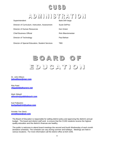### CUSD

### **ADMINISTRATION**

| Superintendent                                  | Barb Dill-Varga    |
|-------------------------------------------------|--------------------|
| Director of Curriculum, Instruction, Assessment | Suzie DePrez       |
| Director of Human Resources                     | Ken Griest         |
| <b>Chief Business Official</b>                  | Rick Blanckmeister |
| Director of Technology                          | Paul Behan         |
| Director of Special Education, Student Services | TBD                |

## BOARD OF EDUCATION

Dr. John Ellison **johnellison@mac.com**

Rita Patel **ritapatel@allcarerx.net**

Mark Stilwell **[stilwelm@pebblebeach.com](mailto:Stilwelm@pebblebeach.com)**

Karl Pallastrini **karlpallastrini@yahoo.com**

Annette Yee Steck **annetteyee@aol.com**

The Board of Education is responsible for setting district policy and approving the district's annual budget. The board and district staff work to ensure that the CUSD students receive the highest quality education and the district's finances are healthy.

The public is welcome to attend board meetings the second and fourth Wednesday of each month (tentative schedule). The schedule can vary during summer and holidays. Meetings are held in various locations. For more information call the district office at 624-1546.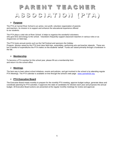## PARENT TEACHER ASSOCIATION (PTA)

#### **Purpose**

The PTA at Carmel River School is an active, non-profit, volunteer organization of parents and teachers. Its mission is to support and enhance the educational experience offered to our students.

The PTA plays a vital role at River School. It helps to organize the wonderful volunteers who give time and energy to the school. Volunteers frequently support classroom teachers in various roles or as chaperones on field trips.

The PTA hosts annual events such as the Fall Festival and sponsors the Holiday Program. Monies raised by the PTA fund class field trips, assemblies, performing arts and teacher stipends. These are but a handful of expenditures the PTA makes on the students' behalf. Funds are raised primarily through a fundraiser in the fall.

#### **Membership**

To become a PTA member for this school year, please fill out a membership form and return it to the school office.

#### **Meetings**

The best way to learn about school initiatives, events and policies, and get involved in the school is by attending regular PTA Meetings. The PTA calendar is available on-line through the school's web page: [www.carmelriver.org](http://www.carmelriver.org/)

#### **PTA Executive Board**

The Executive Board meets monthly to prepare for the monthly PTA meeting, approve budget outlays, generate ideas and coordinate planning for PTA activities. It approves the slate of candidates for election each year and proposes the annual budget. All Executive Board actions are presented at the regular monthly meetings for review and approval.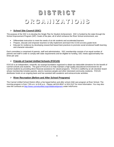# DISTRICT ORGANIZATIONS

#### **School Site Council (SSC)**

The purpose of the SSC is to develop the Single Plan for Student Achievement. SSC is funded by the state through the School Improvement Program (SIP). Goals of the plan, all of which enhance the River School environment, are:

- Differentiate instruction to meet the needs of at risk students and accelerated learners
- Prepare, educate and empower teachers to fully implement and teach the CCSS at every grade level.
- Educate for resilience by developing researched based best practices to promote social emotional health learning and character education

Each committee is comprised of parents, staff and administration. SSC membership consists of an equal number of parents and staff in order to comply with state requirements and be eligible for funding. SSC meets approximately five times per year.

#### **Friends of Carmel Unified Schools (FOCUS)**

FOCUS is an independent, nonprofit, tax-exempt foundation organized to obtain tax-deductible donations for the benefit of Carmel schools and students. The goal of FOCUS is to help maintain a high quality educational environment for all Carmel students by providing direct financial assistance for valued programs. FOCUS is staffed by an all-volunteer board whose membership includes parents, alumni, business people and other interested community residents. FOCUS distributes funds on an ongoing basis and has assisted with academic and extracurricular activities.

#### **River Recreation (Before and After School Programs)**

The Carmel Unified School District offers a fee based before and after school child care program at River School. The morning program is from 7:00 a.m. to 8:40 a.m. Please call 624-8047 or 624-3147 for more information. You may also view the contracts at<http://www.carmelunified.org/childdevelopment> under Info/Forms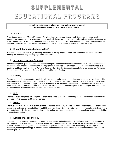## SUPPLEMENTAL EDUCATIONAL PROGRAMS

**In addition to the regular classroom curriculum, several special programs are available to students at River School.**

#### **Spanish**

River School operates a "Spanish" program for all students two to three days a week depending on grade level. Kindergarten students receive instruction once a week within their grade level, first grade students receive instruction for two 20 minute periods, second through fifth grade receive instruction for two 30 minute periods. The certificated teacher visits classrooms for each period and concentrates on developing students' speaking and listening skills.

#### **English Language Learners (ELL)**

Students who do not speak English fluently participate in a daily program taught by the school's technical assistant to develop the students' English language proficiency skills.

#### **Advanced Learner Program**

All third through fifth grade students who meet certain performance criteria in the classroom are eligible to participate in the school's "Advanced Learner Program." The program is operated one afternoon a week for each set of grade level qualifiers and taught by the school's ALP and Common Core Coach. Courses include, but are not limited to: Forensics, Robotics, Math Olympiads and Creative Thinking and Problem Solving.

#### **Library**

Classes visit the library every other week for a library lesson and weekly, depending upon need, to circulate books. The periods are 40 minutes in length, with the exception of kindergarten, which is 35 minutes. The library is staffed by a fulltime librarian and an assistant. Appropriate care of books is each student's responsibility. Students are not allowed to check books out if a book is overdue. If books are not turned in at the end of the year or are damaged, then a book fee will be assessed. Report cards will be withheld until fees are paid.

#### **P.E.**

The first through fifth grade P.E. program is offered two times a week for 50 minute periods. Kindergarten students have two, weekly P.E. classes for 35 minute periods.

#### **Music**

The music teacher provides music instruction to all classes for 35 to 40 minutes per week. Instrumental and choral music programs are offered to interested fourth and fifth grade students. Students participating in Instrumental and choral music also participate in district-wide music festivals in the spring. All students participate in the choral and instrumental Holiday Program in December.

#### **Educational Technology**

Students in kindergarten through second grade receive weekly technological instruction from the computer instructor in the computer lab for 35 to 40 minute periods. In grades three through five, the lab teacher visits classrooms to deliver a standards based technology curriculum that also incorporates and supports content that is taught in the regular classroom, but using technology to capture, enrich and extend the students' curricular experience to meet 21<sup>st</sup> century technology skills.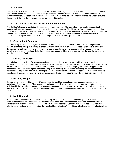#### **Science**

Once a week for 40 to 50 minutes, students visit the science laboratory where science is taught by a certificated teacher who provides hands-on experiences and investigations for all classes. Front loaded science lessons/activities are provided in the regular classrooms to introduce the lessons taught in the lab. Kindergarten science instruction is taught through the Children's Garden program, once a week for 35 minutes.

#### **The Children's Garden / Environmental Education**

The Children's Garden is located on the southeast corner of campus. The curriculum focus combines aspects of nutrition, science and language arts in a hands-on learning environment. The Children's Garden program is primarily a kindergarten through third grade program, with kindergarten students receiving weekly instruction of 35 to 40 minutes and taught by the garden instructor. On a less frequent basis, 1<sup>st</sup>-5<sup>th</sup> grade classes participate in "science in the garden." New to school this year is the "Garden to Table" program for  $3<sup>rd</sup>$  through  $5<sup>th</sup>$  grade students.

#### **Counseling / Guidance**

The counseling and guidance program is available to parents, staff and students five days a week. The goals of the program are the following: to provide prevention and early intervention in emotional and social problems, to aid in the development of self-awareness and positive self-image, to assist parents in understanding the process of children's growth and development, to foster helpful peer leadership among children and to help children develop the skills to cope with changes in their families.

#### **Special Education**

Special classes are available for students who have been identified with a learning disability, require speech and language or occupational therapy, or other service that has been recommended by a team of professionals. River School has two special education teacher who are assisted by two instructional aides. The program provides support to the teachers and students in the regular classroom using a "co-teaching" model. When necessary the special education teachers will also pull students out of class to provided individual academic support. In addition, River School has a site based speech language therapist, an itinerant occupational therapist and psychologist who are available as needed.

#### **Reading Support**

Classes in reading support target all K-5<sup>th</sup> grade students. Identified students are recommended by teachers to participate. A "reading support" instructor operates the program five days a week and for approximately 30 minute periods (with the exception of kindergarten students who attend shorter support classes after dismissal. Students who require additional intervention to develop oral fluency attend a reading support class during the p.m. "blue band" period of instruction.

#### **Math Support**

Before school math tutoring is offered two times weekly for students in second through fifth grade to assist students in conceptual mathematical understanding. Teachers recommend this intervention to students who would benefit from additional math support. The class is taught by a River School instructor. Students who require additional math fact retention support attend an early morning, during school hour "blue band" period to develop their math fact retention skills.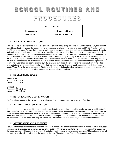## SCHOOL ROUTINES AND PROCEDURES

| <b>BELL SCHEDULE</b> |
|----------------------|
|----------------------|

**Kindergarten 8:40 a.m. – 2:00 p.m.** 

**1st - 5th Gr. 8:40 a.m. - 3:00 p.m.** 

#### **ARRIVAL AND DEPARTURE**

Parents should use the car lane on Monte Verde St. to drop off and pick up students. If parents wish to park, they should escort their child(ren) across the street, if there is no parking available in the slots provided on 15<sup>th</sup> St. The staff parking lot is off limits to parents. Parents delivering and picking up kindergarten students should do so at the classrooms. Parents and students are not allowed on the lower playground before 8:25 a.m.; it is then that supervision is provided. A bell, sounding at 8:25, will signal the moment when students are allowed on the lower playground before school. Afterward, an 8:37 bell will ring to signal students to walk to class with classroom entry occurring at the 8:40 bell. At dismissal, students are to be picked up in front of their classrooms or at a designated location determined by the parent unless they are taking the bus. Students taking the bus home will sit in bus lines before bus arrival inside the fence next to the multipurpose room. If a student has not been picked up by 3:15, teachers may direct the students to the bench in front of the office where students are expected to sit and wait for their parents to arrive. Buses drop off students and pick them up on Monte Verde St. at the lower playground. Students arriving late or being picked up early must register in the school office. The register is maintained in the office for parents to sign students in and out.

#### **RECESS SCHEDULES**

Kindergarten Recess 10:10-10:25 Lunch 11:40-12:25

Grades 1 - 5 Recess 10:30-10:45 a.m. Lunch 12:30-1:15 p.m.

#### **BEFORE SCHOOL SUPERVISION**

Staff members supervise the playground beginning at 8:25 a.m. Students are not to arrive before then.

#### **AFTER SCHOOL SUPERVISION**

After school supervision is provided in the bus lines until students are picked up and in the pick-up lane to facilitate traffic flow and safety. No supervision is provided on the playground. When students are dismissed at 3:00 they must: 1) go sit in the bus lanes until the busses arrive 2) be picked up at the classroom or in the pick-up lane 3) walk or ride their bike home with their parent's permission 4) remain on campus with parent/adult supervision. All other students must wait on the bench in front of the office until they are picked up. Children are not allowed to play on the campus unattended.

#### **ATTENDANCE AND ABSENCES**

Regular attendance is essential to a student's success in school. If a child is absent because of illness or other "excused" reason, parents are required to call the school office at 624- 4609 or send a note to the school explaining the reason for the absence within 48 hours of the absence. If a student has three or more unexcused absences (30 minutes or longer of instruction), he/she will be referred to the Monterey County, District Attorney Truancy Abatement Program.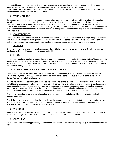For justifiable personal reasons, an absence may be excused by the principal (or designee) after receiving a written request from the parent or guardian justifying the request and length of the student's absence.

\*\* If your child has a doctor/dentist appointment in the morning, please remember to bring a note from the doctor's office so the absence can be recorded as "medically excused".

#### **TARDY POLICY**

If a student has an unexcused tardy four or more times in a trimester, a recess privilege will be revoked with each late arrival. The school begins a new tardy period with each new trimester (trimester dates are recorded on the district calendar). At the latest, students are expected to arrive at their classroom doors at 8:40 at which time classroom teachers close their doors after the arrival bell has rung. Any student who arrives after a classroom door has been closed is to go to the school office to check in where a "tardy" will be registered. Late students may then be admitted to class with a "late slip."

#### **CONFERENCES**

Parent /Teacher Conferences are held in November and March. Teachers contact parents to arrange an appointment at a mutually convenient time. During conference weeks students attend school from 8:40 a.m. to 12:30 p.m. If parents wish to have an additional appointment with a teacher, the teacher should be contacted via phone or email.

#### **SNACKS**

Students should be provided with a nutritious snack daily. Students eat their snacks midmorning. Snack may also be purchased in the Multi Purpose room at recess for \$2.00.

#### **LUNCH**

Parents may purchase lunches at school; however, parents are encouraged to make deposits to students' lunch accounts on-line at the carmelunified.org website. If a child is allergic to a particular food, a form should be completed with the district's food service program requesting a substituted meal. Any food that a student is allergic to should be recorded on the student's emergency card.

#### **SCHOOL BUS POLICY AND RULES OF CONDUCT**

There is an annual fee for school bus use. Fees are \$200 for one student, \$400 for two and \$500 for three or more. Single, one-way trips cost \$3.00. Fees can be waived under certain conditions due to financial constraints. "Back to School Packets" provide the full information.

A complete list of bus rules is included in the Back to School Packet and is contained in District regulation E 3540 A. A partial list of unacceptable conduct includes: abusive body contact, fighting on bus or at stops, using profane language or obscene gestures, unauthorized exiting or opening or closing or tampering with doors or windows, creating excessive noise, throwing objects within or out of the bus, transporting glass items or animals, eating or drinking on the bus, not sitting properly in seats, occupying the aisle, and failure to obey the driver or disrespect to the driver.

Drivers have been instructed to issue misconduct citations to violators. Violations will be dealt with at the school administrative level.

To exit the bus at a location other than the normal stop, the student must provide a note to the driver, written by the parent or guardian, specifying the designated location. Kindergarten and first grade students will not be dropped off at a stop where an adult/guardian is not present to receive the child.

#### **VISITORS**

All visitors are required to register in the school office upon entering the campus. Visitors and volunteers are required to wear stickers/badges which identify them. Parents are welcome and are encouraged to visit the school.

#### **CLOTHING**

Children should be clothed appropriately and respectfully for school. The school's clothing policy is stated in the discipline plan.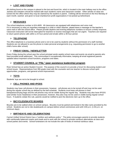#### **LOST AND FOUND**

All clothing found on the campus is placed in the lost and found bin, which is located in the main hallway next to the office. Jackets and sweaters should be marked with each student's name and classroom number. Other articles of value are turned into the office where they may be claimed by the student or parent. Clothing will be removed on the first Monday of each month, washed and given to local charities/non-profit organizations if not picked up beforehand.

#### **MESSAGES**

The school telephone number is 624-4609. All classrooms are equipped with telephones and voice mail. If it is necessary to relay an important message to a child or child's teacher, please leave a message on the teacher's voice mail or with the school office. Please provide daytime and evening telephone numbers to ensure a timely response. Classroom instruction will not be interrupted for teachers to receive messages that are not urgent. Teachers are required to return parent phone calls within a 24 hour period and emails within a 48 hour period.

#### **TELEPHONE**

The office telephone is a business phone and is not to be used by students without the permission of a staff member. Students are not allowed to use the phone to make personal arrangements (e.g. requesting permission to go to another child's home after school).

#### **FRIDAY EMAIL / NEWSLETTER**

Every Friday during the school year the school principal sends weekly school news and events via email to parents who have provided email addresses. This communiqué is exceptionally informative, keeping all email registered parents updated about important school functions, programs and dates.

#### **STUDENT COUNCIL or "PAL" (peer assistance leadership) program**

River School has an active Student Council. The purpose of the council is to provide a forum for discussing student and school issues. Representatives from fifth grade meet with the counselor and one teacher to discuss school spirit opportunities, programs, and general school improvement.

#### **TOYS**

Students' toys are not to be brought to school.

#### **CELL PHONES AND IPODS**

Students may have cell phones in their possession, however, cell phones are to be turned off and may not be used during the regular school day as defined by the bell schedule. Students must keep cell phones in their backpacks/carrying bags and the cell phones may not be visible during the regular day. Students may also have IPODS (and similar music headwear) in their possession, however, they also may not be used or visible during regular school hours. If students violate this rule, parents would be notified to pick the electronic item up in the office.

#### **BICYCLES/SKATE BOARDS**

Bicycles are to be walked when on school campus. Bicycles must be parked and locked in the bike racks provided by the school. Students are not to ride skateboards on campus before school commences and until 4:00 p.m. (1:30 p.m. on minimum days).

#### **BIRTHDAYS AND CELEBRATIONS**

Carmel Unified School District has a "nutrition and wellness policy." The policy encourages parents to provide students with nutritionally balanced snacks and meals and to work with the school to provide nutritious alternatives at class and school parties and events. School fundraisers do not include the sale of foods of minimal nutritious value.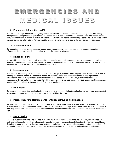# EMERGENCIES AND MEDICAL ISSUES

#### **Emergency Information on File**

Each student is required to have emergency contact information on file at the school office. If any of the data changes during the year, the parent is required to visit the school office in person to record the change. This information is used to notify parents in case of school or district emergencies. Students will not be released to persons who are not listed on the emergency contact information. Parents must be present to make such changes to the emergency contact listing.

#### **Student Release**

If a student needs to be picked up during school hours by somebody that is not listed on the emergency contact information, the parent / guardian is required to notify the school in advance.

#### **Illness or Injury**

In case of illness or injury, a child will be cared for temporarily by school personnel. First aid treatment, only, will be rendered. If emergency medical treatment is necessary, parents will be contacted. If unable to contact parents, school personnel will follow the information on the emergency card.

#### **Immunizations**

Students are required by law to have immunizations for DTP, polio, varicella (chicken pox), MMR and hepatitis B prior to entering a California school. Parents must submit a California School Immunizations Record during registration. Kindergarten and newly registered first grade students to the school must submit a physician completed health examination. Kindergarten and newly registered first grade students are also required to have an oral health assessment (dental exam) completed by the end of their first year in public school.

#### **Medication**

If a physician has prescribed medication for a child and it is to be taken during the school day, a form must be completed by the parent or guardian, signed by a physician and turned into the office.

#### **Parent Reporting Requirements for Student Injuries and Illnesses**

Parents shall notify the office staff or school nurse regarding any student injury or illness. Parents shall inform school staff of any concerns, potential limitations and/or prohibited activities that may require accommodations. Of note, a physician's note may be required. The school nurse will communicate any accommodation plan to the site administrator and relevant staff.

#### **Health Policy**

Students must remain home if he/she has: fever (100 +), vomit or diarrhea within the last 24 hours, red, inflamed eyes, body rash unless determined non-infectious by a doctor, severe or persistent cough, less than 24 hours on an antibiotic. If student is found to have live lice they must be treated and checked by the school nurse prior to returning to school. If student has been diagnosed with a contagious disease please keep your child home and notify the school nurse.